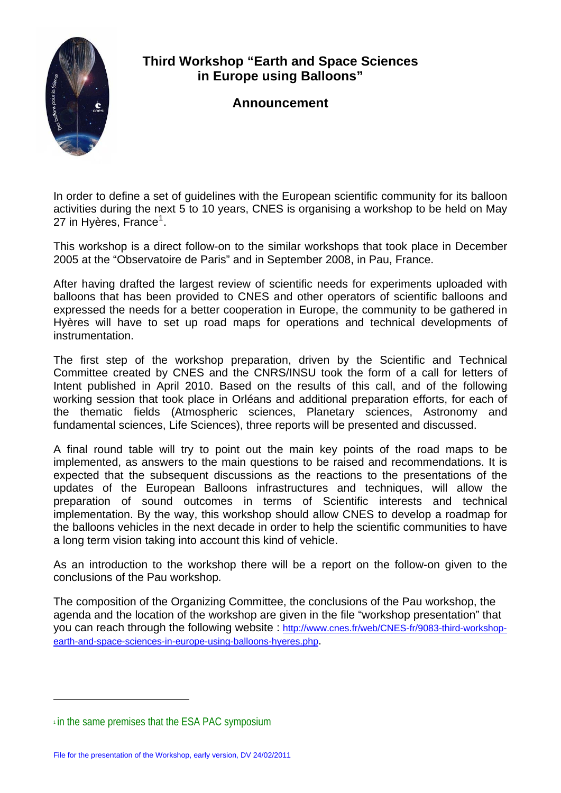

## **Third Workshop "Earth and Space Sciences in Europe using Balloons"**

## **Announcement**

In order to define a set of guidelines with the European scientific community for its balloon activities during the next 5 to 10 years, CNES is organising a workshop to be held on May 27 in Hyères, France<sup>[1](#page-0-0)</sup>.

This workshop is a direct follow-on to the similar workshops that took place in December 2005 at the "Observatoire de Paris" and in September 2008, in Pau, France.

After having drafted the largest review of scientific needs for experiments uploaded with balloons that has been provided to CNES and other operators of scientific balloons and expressed the needs for a better cooperation in Europe, the community to be gathered in Hyères will have to set up road maps for operations and technical developments of instrumentation.

The first step of the workshop preparation, driven by the Scientific and Technical Committee created by CNES and the CNRS/INSU took the form of a call for letters of Intent published in April 2010. Based on the results of this call, and of the following working session that took place in Orléans and additional preparation efforts, for each of the thematic fields (Atmospheric sciences, Planetary sciences, Astronomy and fundamental sciences, Life Sciences), three reports will be presented and discussed.

A final round table will try to point out the main key points of the road maps to be implemented, as answers to the main questions to be raised and recommendations. It is expected that the subsequent discussions as the reactions to the presentations of the updates of the European Balloons infrastructures and techniques, will allow the preparation of sound outcomes in terms of Scientific interests and technical implementation. By the way, this workshop should allow CNES to develop a roadmap for the balloons vehicles in the next decade in order to help the scientific communities to have a long term vision taking into account this kind of vehicle.

As an introduction to the workshop there will be a report on the follow-on given to the conclusions of the Pau workshop*.*

The composition of the Organizing Committee, the conclusions of the Pau workshop, the agenda and the location of the workshop are given in the file "workshop presentation" that you can reach through the following website : [http://www.cnes.fr/web/CNES-fr/9083-third-workshop](http://www.cnes.fr/web/CNES-fr/9083-third-workshop-earth-and-space-sciences-in-europe-using-balloons-hyeres.php)[earth-and-space-sciences-in-europe-using-balloons-hyeres.php.](http://www.cnes.fr/web/CNES-fr/9083-third-workshop-earth-and-space-sciences-in-europe-using-balloons-hyeres.php)

l

<span id="page-0-0"></span> $\pm$  in the same premises that the ESA PAC symposium